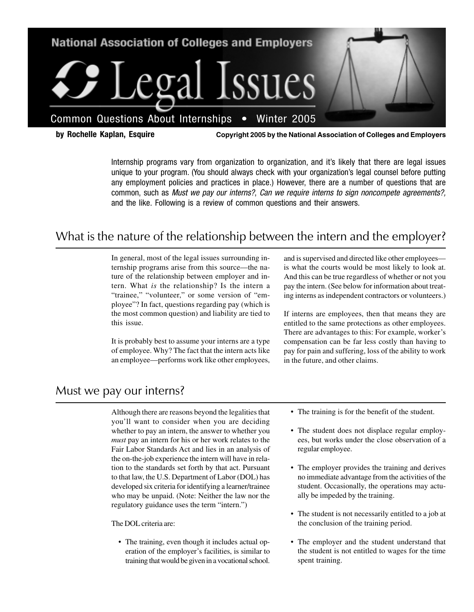

**by Rochelle Kaplan, Esquire Copyright 2005 by the National Association of Colleges and Employers**

Internship programs vary from organization to organization, and it's likely that there are legal issues unique to your program. (You should always check with your organization's legal counsel before putting any employment policies and practices in place.) However, there are a number of questions that are common, such as Must we pay our interns?, Can we require interns to sign noncompete agreements?, and the like. Following is a review of common questions and their answers.

### What is the nature of the relationship between the intern and the employer?

In general, most of the legal issues surrounding internship programs arise from this source—the nature of the relationship between employer and intern. What *is* the relationship? Is the intern a "trainee," "volunteer," or some version of "employee"? In fact, questions regarding pay (which is the most common question) and liability are tied to this issue.

It is probably best to assume your interns are a type of employee. Why? The fact that the intern acts like an employee—performs work like other employees,

and is supervised and directed like other employees is what the courts would be most likely to look at. And this can be true regardless of whether or not you pay the intern. (See below for information about treating interns as independent contractors or volunteers.)

If interns are employees, then that means they are entitled to the same protections as other employees. There are advantages to this: For example, worker's compensation can be far less costly than having to pay for pain and suffering, loss of the ability to work in the future, and other claims.

#### Must we pay our interns?

Although there are reasons beyond the legalities that you'll want to consider when you are deciding whether to pay an intern, the answer to whether you *must* pay an intern for his or her work relates to the Fair Labor Standards Act and lies in an analysis of the on-the-job experience the intern will have in relation to the standards set forth by that act. Pursuant to that law, the U.S. Department of Labor (DOL) has developed six criteria for identifying a learner/trainee who may be unpaid. (Note: Neither the law nor the regulatory guidance uses the term "intern.")

The DOL criteria are:

• The training, even though it includes actual operation of the employer's facilities, is similar to training that would be given in a vocational school.

- The training is for the benefit of the student.
- The student does not displace regular employees, but works under the close observation of a regular employee.
- The employer provides the training and derives no immediate advantage from the activities of the student. Occasionally, the operations may actually be impeded by the training.
- The student is not necessarily entitled to a job at the conclusion of the training period.
- The employer and the student understand that the student is not entitled to wages for the time spent training.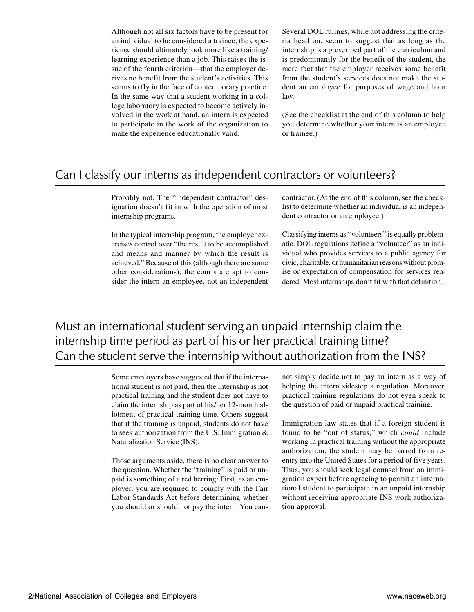Although not all six factors have to be present for an individual to be considered a trainee, the experience should ultimately look more like a training/ learning experience than a job. This raises the issue of the fourth criterion—that the employer derives no benefit from the student's activities. This seems to fly in the face of contemporary practice. In the same way that a student working in a college laboratory is expected to become actively involved in the work at hand, an intern is expected to participate in the work of the organization to make the experience educationally valid.

Several DOL rulings, while not addressing the criteria head on, seem to suggest that as long as the internship is a prescribed part of the curriculum and is predominantly for the benefit of the student, the mere fact that the employer receives some benefit from the student's services does not make the student an employee for purposes of wage and hour law.

(See the checklist at the end of this column to help you determine whether your intern is an employee or trainee.)

#### Can I classify our interns as independent contractors or volunteers?

Probably not. The "independent contractor" designation doesn't fit in with the operation of most internship programs.

In the typical internship program, the employer exercises control over "the result to be accomplished and means and manner by which the result is achieved." Because of this (although there are some other considerations), the courts are apt to consider the intern an employee, not an independent contractor. (At the end of this column, see the checklist to determine whether an individual is an independent contractor or an employee.)

Classifying interns as "volunteers" is equally problematic. DOL regulations define a "volunteer" as an individual who provides services to a public agency for civic, charitable, or humanitarian reasons without promise or expectation of compensation for services rendered. Most internships don't fit with that definition.

## Must an international student serving an unpaid internship claim the internship time period as part of his or her practical training time? Can the student serve the internship without authorization from the INS?

Some employers have suggested that if the international student is not paid, then the internship is not practical training and the student does not have to claim the internship as part of his/her 12-month allotment of practical training time. Others suggest that if the training is unpaid, students do not have to seek authorization from the U.S. Immigration & Naturalization Service (INS).

Those arguments aside, there is no clear answer to the question. Whether the "training" is paid or unpaid is something of a red herring: First, as an employer, you are required to comply with the Fair Labor Standards Act before determining whether you should or should not pay the intern. You cannot simply decide not to pay an intern as a way of helping the intern sidestep a regulation. Moreover, practical training regulations do not even speak to the question of paid or unpaid practical training.

Immigration law states that if a foreign student is found to be "out of status," which *could* include working in practical training without the appropriate authorization, the student may be barred from reentry into the United States for a period of five years. Thus, you should seek legal counsel from an immigration expert before agreeing to permit an international student to participate in an unpaid internship without receiving appropriate INS work authorization approval.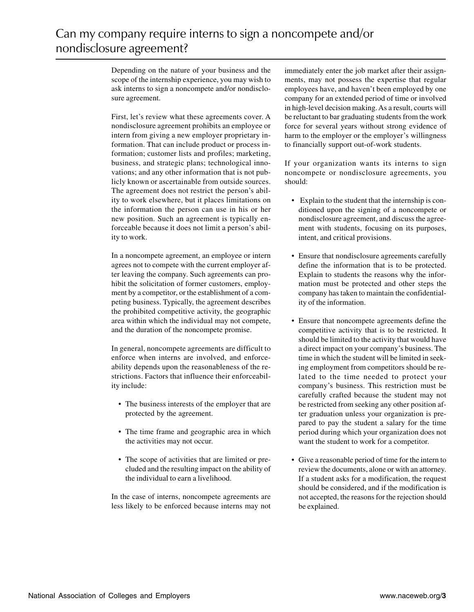Depending on the nature of your business and the scope of the internship experience, you may wish to ask interns to sign a noncompete and/or nondisclosure agreement.

First, let's review what these agreements cover. A nondisclosure agreement prohibits an employee or intern from giving a new employer proprietary information. That can include product or process information; customer lists and profiles; marketing, business, and strategic plans; technological innovations; and any other information that is not publicly known or ascertainable from outside sources. The agreement does not restrict the person's ability to work elsewhere, but it places limitations on the information the person can use in his or her new position. Such an agreement is typically enforceable because it does not limit a person's ability to work.

In a noncompete agreement, an employee or intern agrees not to compete with the current employer after leaving the company. Such agreements can prohibit the solicitation of former customers, employment by a competitor, or the establishment of a competing business. Typically, the agreement describes the prohibited competitive activity, the geographic area within which the individual may not compete, and the duration of the noncompete promise.

In general, noncompete agreements are difficult to enforce when interns are involved, and enforceability depends upon the reasonableness of the restrictions. Factors that influence their enforceability include:

- The business interests of the employer that are protected by the agreement.
- The time frame and geographic area in which the activities may not occur.
- The scope of activities that are limited or precluded and the resulting impact on the ability of the individual to earn a livelihood.

In the case of interns, noncompete agreements are less likely to be enforced because interns may not immediately enter the job market after their assignments, may not possess the expertise that regular employees have, and haven't been employed by one company for an extended period of time or involved in high-level decision making. As a result, courts will be reluctant to bar graduating students from the work force for several years without strong evidence of harm to the employer or the employer's willingness to financially support out-of-work students.

If your organization wants its interns to sign noncompete or nondisclosure agreements, you should:

- Explain to the student that the internship is conditioned upon the signing of a noncompete or nondisclosure agreement, and discuss the agreement with students, focusing on its purposes, intent, and critical provisions.
- Ensure that nondisclosure agreements carefully define the information that is to be protected. Explain to students the reasons why the information must be protected and other steps the company has taken to maintain the confidentiality of the information.
- Ensure that noncompete agreements define the competitive activity that is to be restricted. It should be limited to the activity that would have a direct impact on your company's business. The time in which the student will be limited in seeking employment from competitors should be related to the time needed to protect your company's business. This restriction must be carefully crafted because the student may not be restricted from seeking any other position after graduation unless your organization is prepared to pay the student a salary for the time period during which your organization does not want the student to work for a competitor.
- Give a reasonable period of time for the intern to review the documents, alone or with an attorney. If a student asks for a modification, the request should be considered, and if the modification is not accepted, the reasons for the rejection should be explained.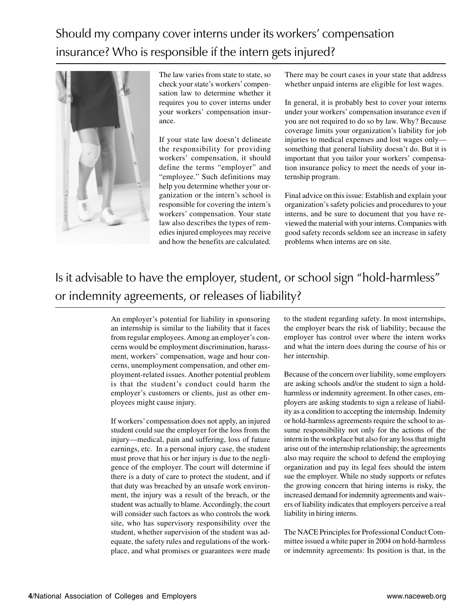# Should my company cover interns under its workers' compensation insurance? Who is responsible if the intern gets injured?



The law varies from state to state, so check your state's workers' compensation law to determine whether it requires you to cover interns under your workers' compensation insurance.

If your state law doesn't delineate the responsibility for providing workers' compensation, it should define the terms "employer" and "employee." Such definitions may help you determine whether your organization or the intern's school is responsible for covering the intern's workers' compensation. Your state law also describes the types of remedies injured employees may receive and how the benefits are calculated.

There may be court cases in your state that address whether unpaid interns are eligible for lost wages.

In general, it is probably best to cover your interns under your workers' compensation insurance even if you are not required to do so by law. Why? Because coverage limits your organization's liability for job injuries to medical expenses and lost wages only something that general liability doesn't do. But it is important that you tailor your workers' compensation insurance policy to meet the needs of your internship program.

Final advice on this issue: Establish and explain your organization's safety policies and procedures to your interns, and be sure to document that you have reviewed the material with your interns. Companies with good safety records seldom see an increase in safety problems when interns are on site.

# Is it advisable to have the employer, student, or school sign "hold-harmless" or indemnity agreements, or releases of liability?

An employer's potential for liability in sponsoring an internship is similar to the liability that it faces from regular employees. Among an employer's concerns would be employment discrimination, harassment, workers' compensation, wage and hour concerns, unemployment compensation, and other employment-related issues. Another potential problem is that the student's conduct could harm the employer's customers or clients, just as other employees might cause injury.

If workers' compensation does not apply, an injured student could sue the employer for the loss from the injury—medical, pain and suffering, loss of future earnings, etc. In a personal injury case, the student must prove that his or her injury is due to the negligence of the employer. The court will determine if there is a duty of care to protect the student, and if that duty was breached by an unsafe work environment, the injury was a result of the breach, or the student was actually to blame. Accordingly, the court will consider such factors as who controls the work site, who has supervisory responsibility over the student, whether supervision of the student was adequate, the safety rules and regulations of the workplace, and what promises or guarantees were made

to the student regarding safety. In most internships, the employer bears the risk of liability; because the employer has control over where the intern works and what the intern does during the course of his or her internship.

Because of the concern over liability, some employers are asking schools and/or the student to sign a holdharmless or indemnity agreement. In other cases, employers are asking students to sign a release of liability as a condition to accepting the internship. Indemity or hold-harmless agreements require the school to assume responsibility not only for the actions of the intern in the workplace but also for any loss that might arise out of the internship relationship; the agreements also may require the school to defend the employing organization and pay its legal fees should the intern sue the employer. While no study supports or refutes the growing concern that hiring interns is risky, the increased demand for indemnity agreements and waivers of liability indicates that employers perceive a real liability in hiring interns.

The NACE Principles for Professional Conduct Committee issued a white paper in 2004 on hold-harmless or indemnity agreements: Its position is that, in the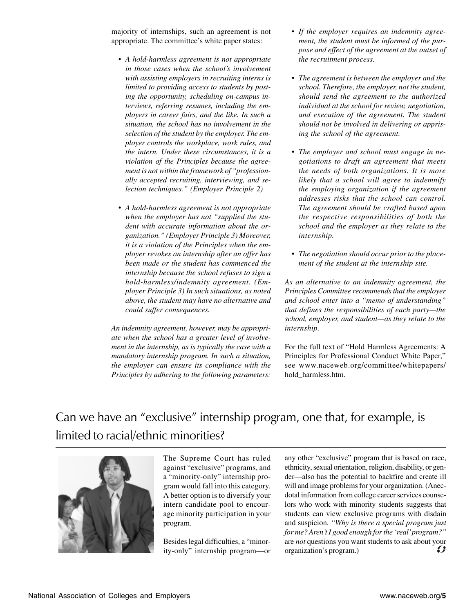majority of internships, such an agreement is not appropriate. The committee's white paper states:

- *A hold-harmless agreement is not appropriate in those cases when the school's involvement with assisting employers in recruiting interns is limited to providing access to students by posting the opportunity, scheduling on-campus interviews, referring resumes, including the employers in career fairs, and the like. In such a situation, the school has no involvement in the selection of the student by the employer. The employer controls the workplace, work rules, and the intern. Under these circumstances, it is a violation of the Principles because the agreement is not within the framework of "professionally accepted recruiting, interviewing, and selection techniques." (Employer Principle 2)*
- *A hold-harmless agreement is not appropriate when the employer has not "supplied the student with accurate information about the organization." (Employer Principle 3) Moreover, it is a violation of the Principles when the employer revokes an internship after an offer has been made or the student has commenced the internship because the school refuses to sign a hold-harmless/indemnity agreement. (Employer Principle 3) In such situations, as noted above, the student may have no alternative and could suffer consequences.*

*An indemnity agreement, however, may be appropriate when the school has a greater level of involvement in the internship, as is typically the case with a mandatory internship program. In such a situation, the employer can ensure its compliance with the Principles by adhering to the following parameters:*

- *If the employer requires an indemnity agreement, the student must be informed of the purpose and effect of the agreement at the outset of the recruitment process.*
- *The agreement is between the employer and the school. Therefore, the employer, not the student, should send the agreement to the authorized individual at the school for review, negotiation, and execution of the agreement. The student should not be involved in delivering or apprising the school of the agreement.*
- *The employer and school must engage in negotiations to draft an agreement that meets the needs of both organizations. It is more likely that a school will agree to indemnify the employing organization if the agreement addresses risks that the school can control. The agreement should be crafted based upon the respective responsibilities of both the school and the employer as they relate to the internship.*
- *The negotiation should occur prior to the placement of the student at the internship site.*

*As an alternative to an indemnity agreement, the Principles Committee recommends that the employer and school enter into a "memo of understanding" that defines the responsibilities of each party—the school, employer, and student—as they relate to the internship.*

For the full text of "Hold Harmless Agreements: A Principles for Professional Conduct White Paper," see www.naceweb.org/committee/whitepapers/ hold\_harmless.htm.

# Can we have an "exclusive" internship program, one that, for example, is limited to racial/ethnic minorities?



The Supreme Court has ruled against "exclusive" programs, and a "minority-only" internship program would fall into this category. A better option is to diversify your intern candidate pool to encourage minority participation in your program.

Besides legal difficulties, a "minority-only" internship program—or any other "exclusive" program that is based on race, ethnicity, sexual orientation, religion, disability, or gender—also has the potential to backfire and create ill will and image problems for your organization. (Anecdotal information from college career services counselors who work with minority students suggests that students can view exclusive programs with disdain and suspicion. *"Why is there a special program just for me? Aren't I good enough for the 'real' program?"* are *not* questions you want students to ask about your organization's program) organization's program.)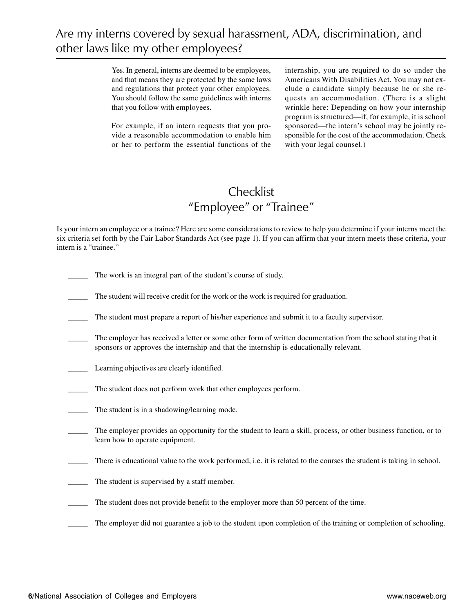Yes. In general, interns are deemed to be employees, and that means they are protected by the same laws and regulations that protect your other employees. You should follow the same guidelines with interns that you follow with employees.

For example, if an intern requests that you provide a reasonable accommodation to enable him or her to perform the essential functions of the internship, you are required to do so under the Americans With Disabilities Act. You may not exclude a candidate simply because he or she requests an accommodation. (There is a slight wrinkle here: Depending on how your internship program is structured—if, for example, it is school sponsored—the intern's school may be jointly responsible for the cost of the accommodation. Check with your legal counsel.)

### **Checklist** "Employee" or "Trainee"

Is your intern an employee or a trainee? Here are some considerations to review to help you determine if your interns meet the six criteria set forth by the Fair Labor Standards Act (see page 1). If you can affirm that your intern meets these criteria, your intern is a "trainee."

- The work is an integral part of the student's course of study.
- The student will receive credit for the work or the work is required for graduation.
- The student must prepare a report of his/her experience and submit it to a faculty supervisor.
- The employer has received a letter or some other form of written documentation from the school stating that it sponsors or approves the internship and that the internship is educationally relevant.
- Learning objectives are clearly identified.
- The student does not perform work that other employees perform.
- The student is in a shadowing/learning mode.
- The employer provides an opportunity for the student to learn a skill, process, or other business function, or to learn how to operate equipment.
- There is educational value to the work performed, i.e. it is related to the courses the student is taking in school.
- The student is supervised by a staff member.
- The student does not provide benefit to the employer more than 50 percent of the time.
- The employer did not guarantee a job to the student upon completion of the training or completion of schooling.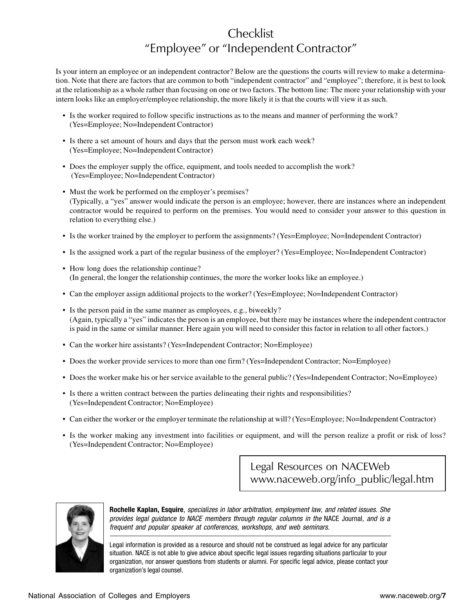## Checklist "Employee" or "Independent Contractor"

Is your intern an employee or an independent contractor? Below are the questions the courts will review to make a determination. Note that there are factors that are common to both "independent contractor" and "employee"; therefore, it is best to look at the relationship as a whole rather than focusing on one or two factors. The bottom line: The more your relationship with your intern looks like an employer/employee relationship, the more likely it is that the courts will view it as such.

- Is the worker required to follow specific instructions as to the means and manner of performing the work? (Yes=Employee; No=Independent Contractor)
- Is there a set amount of hours and days that the person must work each week? (Yes=Employee; No=Independent Contractor)
- Does the employer supply the office, equipment, and tools needed to accomplish the work? (Yes=Employee; No=Independent Contractor)
- Must the work be performed on the employer's premises? (Typically, a "yes" answer would indicate the person is an employee; however, there are instances where an independent contractor would be required to perform on the premises. You would need to consider your answer to this question in relation to everything else.)
- Is the worker trained by the employer to perform the assignments? (Yes=Employee; No=Independent Contractor)
- Is the assigned work a part of the regular business of the employer? (Yes=Employee; No=Independent Contractor)
- How long does the relationship continue? (In general, the longer the relationship continues, the more the worker looks like an employee.)
- Can the employer assign additional projects to the worker? (Yes=Employee; No=Independent Contractor)
- Is the person paid in the same manner as employees, e.g., biweekly? (Again, typically a "yes" indicates the person is an employee, but there may be instances where the independent contractor is paid in the same or similar manner. Here again you will need to consider this factor in relation to all other factors.)
- Can the worker hire assistants? (Yes=Independent Contractor; No=Employee)
- Does the worker provide services to more than one firm? (Yes=Independent Contractor; No=Employee)
- Does the worker make his or her service available to the general public? (Yes=Independent Contractor; No=Employee)
- Is there a written contract between the parties delineating their rights and responsibilities? (Yes=Independent Contractor; No=Employee)
- Can either the worker or the employer terminate the relationship at will? (Yes=Employee; No=Independent Contractor)
- Is the worker making any investment into facilities or equipment, and will the person realize a profit or risk of loss? (Yes=Independent Contractor; No=Employee)

Legal Resources on NACEWeb www.naceweb.org/info\_public/legal.htm



**Rochelle Kaplan, Esquire**, specializes in labor arbitration, employment law, and related issues. She provides legal guidance to NACE members through regular columns in the NACE Journal, and is a frequent and popular speaker at conferences, workshops, and web seminars.

Legal information is provided as a resource and should not be construed as legal advice for any particular situation. NACE is not able to give advice about specific legal issues regarding situations particular to your organization, nor answer questions from students or alumni. For specific legal advice, please contact your organization's legal counsel.